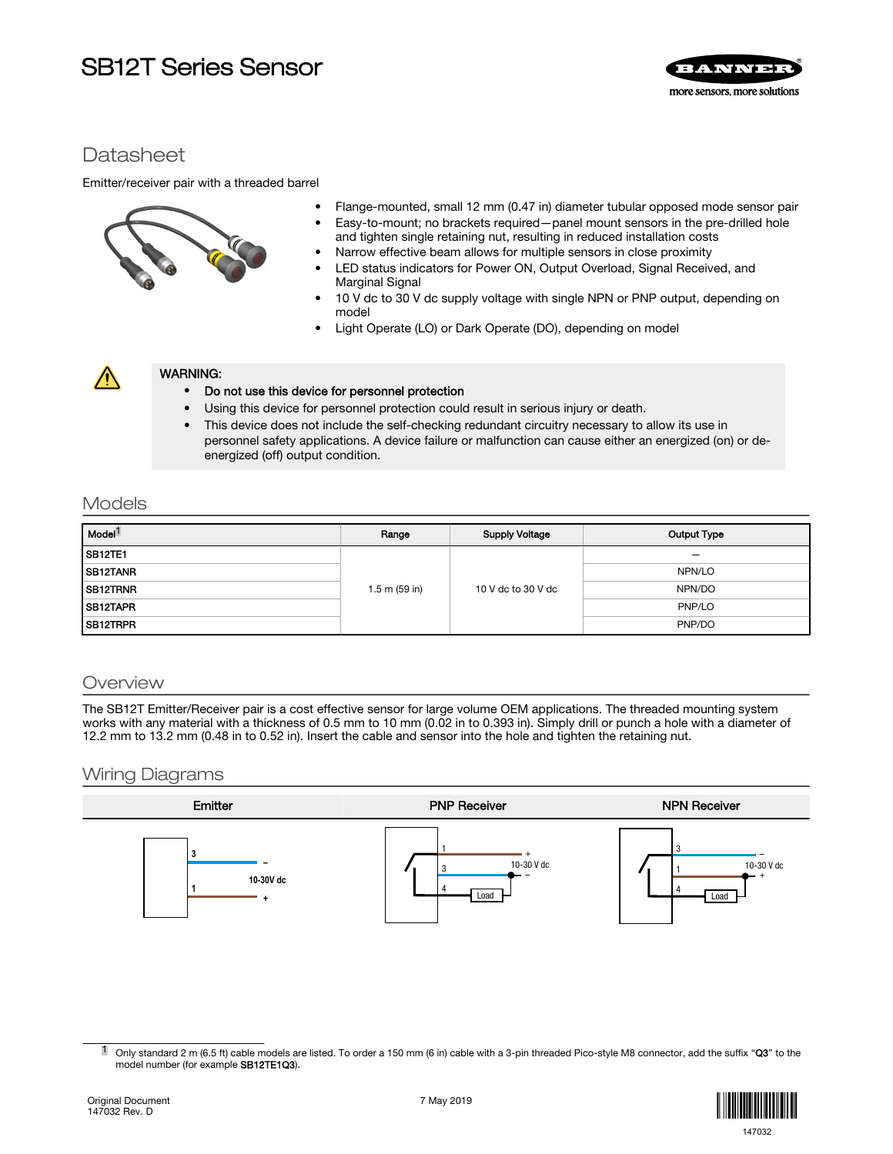# SB12T Series Sensor



## **Datasheet**

Emitter/receiver pair with a threaded barrel



- Flange-mounted, small 12 mm (0.47 in) diameter tubular opposed mode sensor pair
- Easy-to-mount; no brackets required—panel mount sensors in the pre-drilled hole and tighten single retaining nut, resulting in reduced installation costs
- Narrow effective beam allows for multiple sensors in close proximity
- LED status indicators for Power ON, Output Overload, Signal Received, and Marginal Signal
- 10 V dc to 30 V dc supply voltage with single NPN or PNP output, depending on model
- Light Operate (LO) or Dark Operate (DO), depending on model



## WARNING:

### • Do not use this device for personnel protection

- Using this device for personnel protection could result in serious injury or death.
- This device does not include the self-checking redundant circuitry necessary to allow its use in personnel safety applications. A device failure or malfunction can cause either an energized (on) or deenergized (off) output condition.

## Models

| Model <sup>1</sup>    | Range           | <b>Supply Voltage</b> | Output Type |
|-----------------------|-----------------|-----------------------|-------------|
| SB <sub>12</sub> TE1  | $1.5$ m (59 in) | 10 V dc to 30 V dc    | -           |
| SB <sub>12</sub> TANR |                 |                       | NPN/LO      |
| SB12TRNR              |                 |                       | NPN/DO      |
| <b>ISB12TAPR</b>      |                 |                       | PNP/LO      |
| SB <sub>12</sub> TRPR |                 |                       | PNP/DO      |

## **Overview**

The SB12T Emitter/Receiver pair is a cost effective sensor for large volume OEM applications. The threaded mounting system works with any material with a thickness of 0.5 mm to 10 mm (0.02 in to 0.393 in). Simply drill or punch a hole with a diameter of 12.2 mm to 13.2 mm (0.48 in to 0.52 in). Insert the cable and sensor into the hole and tighten the retaining nut.

## Wiring Diagrams



 $1$  Only standard 2 m (6.5 ft) cable models are listed. To order a 150 mm (6 in) cable with a 3-pin threaded Pico-style M8 connector, add the suffix "Q3" to the model number (for example SB12TE1Q3).

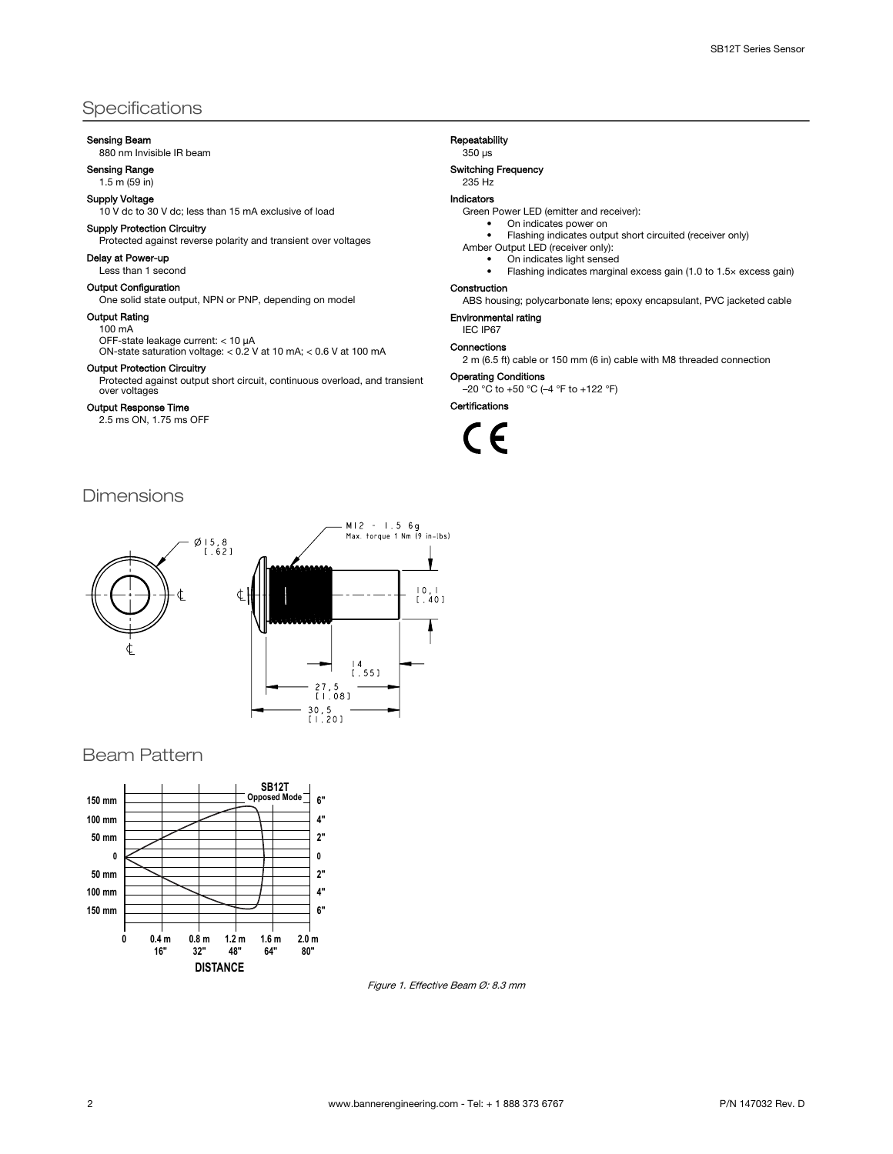## Specifications

#### Sensing Beam

880 nm Invisible IR beam

#### Sensing Range 1.5 m (59 in)

Supply Voltage

10 V dc to 30 V dc; less than 15 mA exclusive of load

## Supply Protection Circuitry

Protected against reverse polarity and transient over voltages

## Delay at Power-up

Less than 1 second

#### Output Configuration

One solid state output, NPN or PNP, depending on model

#### Output Rating

100 mA

OFF-state leakage current: < 10 µA ON-state saturation voltage: < 0.2 V at 10 mA; < 0.6 V at 100 mA

Output Protection Circuitry

Protected against output short circuit, continuous overload, and transient over voltages

#### Output Response Time

2.5 ms ON, 1.75 ms OFF

## Dimensions



## Beam Pattern



Figure 1. Effective Beam Ø: 8.3 mm

#### Repeatability

350 µs

#### Switching Frequency

235 Hz

#### Indicators

Green Power LED (emitter and receiver):

#### On indicates power on • Flashing indicates output short circuited (receiver only)

Amber Output LED (receiver only):

- On indicates light sensed
	- Flashing indicates marginal excess gain (1.0 to 1.5× excess gain)

#### Construction

ABS housing; polycarbonate lens; epoxy encapsulant, PVC jacketed cable

#### Environmental rating IEC IP67

Connections

2 m (6.5 ft) cable or 150 mm (6 in) cable with M8 threaded connection

#### Operating Conditions

–20 °C to +50 °C (–4 °F to +122 °F)

Certifications